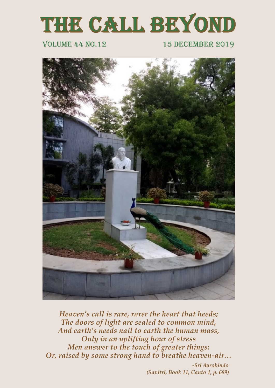# THE CALL BEYOND

#### VOLUME 44 NO.12 15 DECEMBER 2019



*Heaven's call is rare, rarer the heart that heeds; The doors of light are sealed to common mind, And earth's needs nail to earth the human mass, Only in an uplifting hour of stress Men answer to the touch of greater things: Or, raised by some strong hand to breathe heaven-air… -Sri Aurobindo*

*(Savitri, Book 11, Canto 1, p. 689)*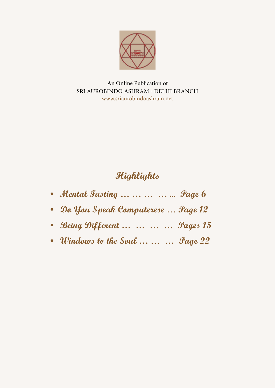

An Online Publication of SRI AUROBINDO ASHRAM - DELHI BRANCH [www.sriaurobindoashram.net](http://www.sriaurobindoashram.net)

# **Highlights**

- **• Mental Fasting … … … … ... Page 6**
- **• Do You Speak Computerese … Page 12**
- **• Being Different … … … … Pages 15**
- **• Windows to the Soul … … … Page 22**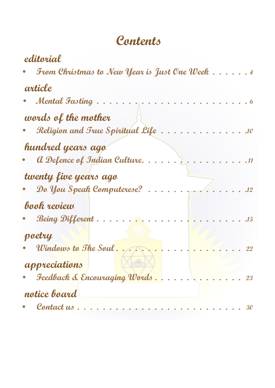# **Contents**

| editorial                                    |
|----------------------------------------------|
| From Christmas to New Year is Just One Week. |
| article                                      |
| Mental Fasting.                              |
| words of the mother                          |
| Religion and True Spiritual Life             |
| hundred years ago                            |
| a Defence of Indian Culture.                 |
| twenty five years ago                        |
| Do You Speak Computerese?                    |
| book review                                  |
| <b>Being Different.</b><br>15                |
| poetry                                       |
| Windows to The Soul .                        |
| appreciations                                |
| Feedback & Encouraging Words<br>23           |
| notice board                                 |
| 30                                           |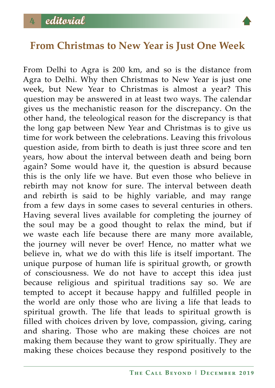

### <span id="page-3-0"></span>**From Christmas to New Year is Just One Week**

From Delhi to Agra is 200 km, and so is the distance from Agra to Delhi. Why then Christmas to New Year is just one week, but New Year to Christmas is almost a year? This question may be answered in at least two ways. The calendar gives us the mechanistic reason for the discrepancy. On the other hand, the teleological reason for the discrepancy is that the long gap between New Year and Christmas is to give us time for work between the celebrations. Leaving this frivolous question aside, from birth to death is just three score and ten years, how about the interval between death and being born again? Some would have it, the question is absurd because this is the only life we have. But even those who believe in rebirth may not know for sure. The interval between death and rebirth is said to be highly variable, and may range from a few days in some cases to several centuries in others. Having several lives available for completing the journey of the soul may be a good thought to relax the mind, but if we waste each life because there are many more available, the journey will never be over! Hence, no matter what we believe in, what we do with this life is itself important. The unique purpose of human life is spiritual growth, or growth of consciousness. We do not have to accept this idea just because religious and spiritual traditions say so. We are tempted to accept it because happy and fulfilled people in the world are only those who are living a life that leads to spiritual growth. The life that leads to spiritual growth is filled with choices driven by love, compassion, giving, caring and sharing. Those who are making these choices are not making them because they want to grow spiritually. They are making these choices because they respond positively to the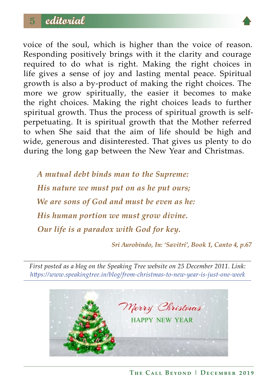# 5 **editorial**



voice of the soul, which is higher than the voice of reason. Responding positively brings with it the clarity and courage required to do what is right. Making the right choices in life gives a sense of joy and lasting mental peace. Spiritual growth is also a by-product of making the right choices. The more we grow spiritually, the easier it becomes to make the right choices. Making the right choices leads to further spiritual growth. Thus the process of spiritual growth is selfperpetuating. It is spiritual growth that the Mother referred to when She said that the aim of life should be high and wide, generous and disinterested. That gives us plenty to do during the long gap between the New Year and Christmas.

*A mutual debt binds man to the Supreme: His nature we must put on as he put ours; We are sons of God and must be even as he: His human portion we must grow divine. Our life is a paradox with God for key.*

*Sri Aurobindo, In: 'Savitri', Book 1, Canto 4, p.67*

*First posted as a blog on the Speaking Tree website on 25 December 2011. Link: https://www.speakingtree.in/blog/from-christmas-to-new-year-is-just-one-week*

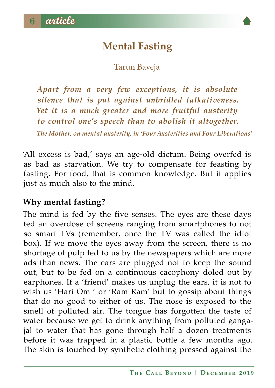

# **Mental Fasting**

Tarun Baveja

<span id="page-5-0"></span>*Apart from a very few exceptions, it is absolute silence that is put against unbridled talkativeness.*  Yet it is a much greater and more fruitful austerity *to control one's speech than to abolish it altogether.*

*The Mother, on mental austerity, in 'Four Austerities and Four Liberations'*

'All excess is bad,' says an age-old dictum. Being overfed is as bad as starvation. We try to compensate for feasting by fasting. For food, that is common knowledge. But it applies just as much also to the mind.

#### **Why mental fasting?**

The mind is fed by the five senses. The eyes are these days fed an overdose of screens ranging from smartphones to not so smart TVs (remember, once the TV was called the idiot box). If we move the eyes away from the screen, there is no shortage of pulp fed to us by the newspapers which are more ads than news. The ears are plugged not to keep the sound out, but to be fed on a continuous cacophony doled out by earphones. If a 'friend' makes us unplug the ears, it is not to wish us 'Hari Om ' or 'Ram Ram' but to gossip about things that do no good to either of us. The nose is exposed to the smell of polluted air. The tongue has forgotten the taste of water because we get to drink anything from polluted gangajal to water that has gone through half a dozen treatments before it was trapped in a plastic bottle a few months ago. The skin is touched by synthetic clothing pressed against the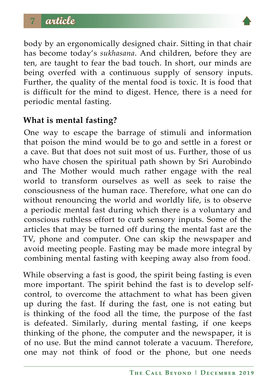

body by an ergonomically designed chair. Sitting in that chair has become today's *sukhasana*. And children, before they are ten, are taught to fear the bad touch. In short, our minds are being overfed with a continuous supply of sensory inputs. Further, the quality of the mental food is toxic. It is food that is difficult for the mind to digest. Hence, there is a need for periodic mental fasting.

#### **What is mental fasting?**

One way to escape the barrage of stimuli and information that poison the mind would be to go and settle in a forest or a cave. But that does not suit most of us. Further, those of us who have chosen the spiritual path shown by Sri Aurobindo and The Mother would much rather engage with the real world to transform ourselves as well as seek to raise the consciousness of the human race. Therefore, what one can do without renouncing the world and worldly life, is to observe a periodic mental fast during which there is a voluntary and conscious ruthless effort to curb sensory inputs. Some of the articles that may be turned off during the mental fast are the TV, phone and computer. One can skip the newspaper and avoid meeting people. Fasting may be made more integral by combining mental fasting with keeping away also from food.

While observing a fast is good, the spirit being fasting is even more important. The spirit behind the fast is to develop selfcontrol, to overcome the attachment to what has been given up during the fast. If during the fast, one is not eating but is thinking of the food all the time, the purpose of the fast is defeated. Similarly, during mental fasting, if one keeps thinking of the phone, the computer and the newspaper, it is of no use. But the mind cannot tolerate a vacuum. Therefore, one may not think of food or the phone, but one needs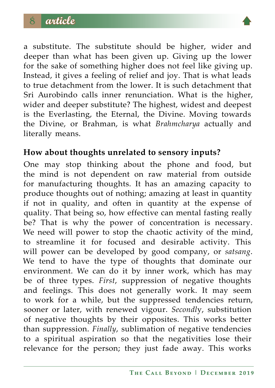# 8 **article**



a substitute. The substitute should be higher, wider and deeper than what has been given up. Giving up the lower for the sake of something higher does not feel like giving up. Instead, it gives a feeling of relief and joy. That is what leads to true detachment from the lower. It is such detachment that Sri Aurobindo calls inner renunciation. What is the higher, wider and deeper substitute? The highest, widest and deepest is the Everlasting, the Eternal, the Divine. Moving towards the Divine, or Brahman, is what *Brahmcharya* actually and literally means.

#### **How about thoughts unrelated to sensory inputs?**

One may stop thinking about the phone and food, but the mind is not dependent on raw material from outside for manufacturing thoughts. It has an amazing capacity to produce thoughts out of nothing; amazing at least in quantity if not in quality, and often in quantity at the expense of quality. That being so, how effective can mental fasting really be? That is why the power of concentration is necessary. We need will power to stop the chaotic activity of the mind, to streamline it for focused and desirable activity. This will power can be developed by good company, or *satsang*. We tend to have the type of thoughts that dominate our environment. We can do it by inner work, which has may be of three types. *First*, suppression of negative thoughts and feelings. This does not generally work. It may seem to work for a while, but the suppressed tendencies return, sooner or later, with renewed vigour. *Secondl*y, substitution of negative thoughts by their opposites. This works better than suppression. *Finally*, sublimation of negative tendencies to a spiritual aspiration so that the negativities lose their relevance for the person; they just fade away. This works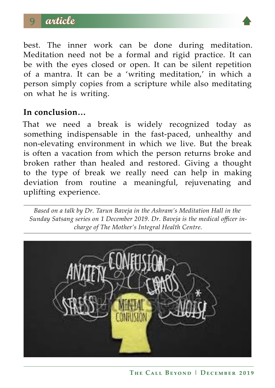# 9 **article**



best. The inner work can be done during meditation. Meditation need not be a formal and rigid practice. It can be with the eyes closed or open. It can be silent repetition of a mantra. It can be a 'writing meditation,' in which a person simply copies from a scripture while also meditating on what he is writing.

#### **In conclusion…**

That we need a break is widely recognized today as something indispensable in the fast-paced, unhealthy and non-elevating environment in which we live. But the break is often a vacation from which the person returns broke and broken rather than healed and restored. Giving a thought to the type of break we really need can help in making deviation from routine a meaningful, rejuvenating and uplifting experience.

*Based on a talk by Dr. Tarun Baveja in the Ashram's Meditation Hall in the Sunday Satsang series on 1 December 2019. Dr. Baveja is the medical officer incharge of The Mother's Integral Health Centre.*

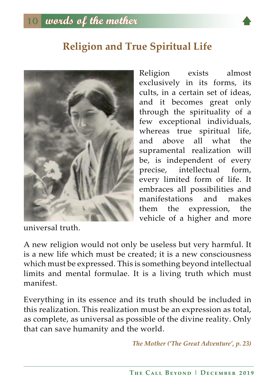

# **Religion and True Spiritual Life**

<span id="page-9-0"></span>

Religion exists almost exclusively in its forms, its cults, in a certain set of ideas, and it becomes great only through the spirituality of a few exceptional individuals, whereas true spiritual life, and above all what the supramental realization will be, is independent of every precise, intellectual form, every limited form of life. It embraces all possibilities and manifestations and makes them the expression, the vehicle of a higher and more

universal truth.

A new religion would not only be useless but very harmful. It is a new life which must be created; it is a new consciousness which must be expressed. This is something beyond intellectual limits and mental formulae. It is a living truth which must manifest.

Everything in its essence and its truth should be included in this realization. This realization must be an expression as total, as complete, as universal as possible of the divine reality. Only that can save humanity and the world.

*The Mother ('The Great Adventure', p. 23)*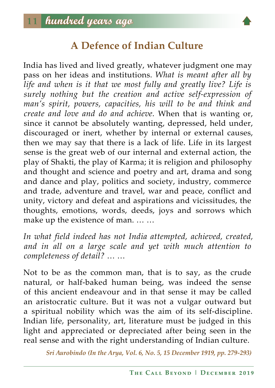

# **A Defence of Indian Culture**

<span id="page-10-0"></span>India has lived and lived greatly, whatever judgment one may pass on her ideas and institutions. *What is meant after all by life and when is it that we most fully and greatly live? Life is surely nothing but the creation and active self-expression of man's spirit, powers, capacities, his will to be and think and create and love and do and achieve.* When that is wanting or, since it cannot be absolutely wanting, depressed, held under, discouraged or inert, whether by internal or external causes, then we may say that there is a lack of life. Life in its largest sense is the great web of our internal and external action, the play of Shakti, the play of Karma; it is religion and philosophy and thought and science and poetry and art, drama and song and dance and play, politics and society, industry, commerce and trade, adventure and travel, war and peace, conflict and unity, victory and defeat and aspirations and vicissitudes, the thoughts, emotions, words, deeds, joys and sorrows which make up the existence of man. … …

*In what field indeed has not India attempted, achieved, created, and in all on a large scale and yet with much attention to completeness of detail?* … …

Not to be as the common man, that is to say, as the crude natural, or half-baked human being, was indeed the sense of this ancient endeavour and in that sense it may be called an aristocratic culture. But it was not a vulgar outward but a spiritual nobility which was the aim of its self-discipline. Indian life, personality, art, literature must be judged in this light and appreciated or depreciated after being seen in the real sense and with the right understanding of Indian culture.

*Sri Aurobindo (In the Arya, Vol. 6, No. 5, 15 December 1919, pp. 279-293)*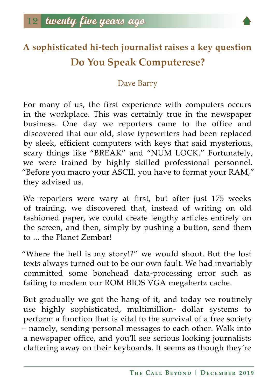# <span id="page-11-0"></span>**A sophisticated hi-tech journalist raises a key question Do You Speak Computerese?**

### Dave Barry

For many of us, the first experience with computers occurs in the workplace. This was certainly true in the newspaper business. One day we reporters came to the office and discovered that our old, slow typewriters had been replaced by sleek, efficient computers with keys that said mysterious, scary things like "BREAK" and "NUM LOCK." Fortunately, we were trained by highly skilled professional personnel. "Before you macro your ASCII, you have to format your RAM," they advised us.

We reporters were wary at first, but after just 175 weeks of training, we discovered that, instead of writing on old fashioned paper, we could create lengthy articles entirely on the screen, and then, simply by pushing a button, send them to ... the Planet Zembar!

"Where the hell is my story!?" we would shout. But the lost texts always turned out to be our own fault. We had invariably committed some bonehead data-processing error such as failing to modem our ROM BIOS VGA megahertz cache.

But gradually we got the hang of it, and today we routinely use highly sophisticated, multimillion- dollar systems to perform a function that is vital to the survival of a free society – namely, sending personal messages to each other. Walk into a newspaper office, and you'll see serious looking journalists clattering away on their keyboards. It seems as though they're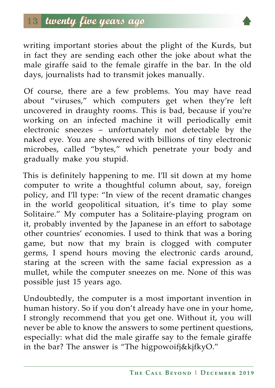# 13 **twenty five years ago**



writing important stories about the plight of the Kurds, but in fact they are sending each other the joke about what the male giraffe said to the female giraffe in the bar. In the old days, journalists had to transmit jokes manually.

Of course, there are a few problems. You may have read about "viruses," which computers get when they're left uncovered in draughty rooms. This is bad, because if you're working on an infected machine it will periodically emit electronic sneezes – unfortunately not detectable by the naked eye. You are showered with billions of tiny electronic microbes, called "bytes," which penetrate your body and gradually make you stupid.

This is definitely happening to me. I'll sit down at my home computer to write a thoughtful column about, say, foreign policy, and I'll type: "In view of the recent dramatic changes in the world geopolitical situation, it's time to play some Solitaire." My computer has a Solitaire-playing program on it, probably invented by the Japanese in an effort to sabotage other countries' economies. I used to think that was a boring game, but now that my brain is clogged with computer germs, I spend hours moving the electronic cards around, staring at the screen with the same facial expression as a mullet, while the computer sneezes on me. None of this was possible just 15 years ago.

Undoubtedly, the computer is a most important invention in human history. So if you don't already have one in your home, I strongly recommend that you get one. Without it, you will never be able to know the answers to some pertinent questions, especially: what did the male giraffe say to the female giraffe in the bar? The answer is "The higpowoifj&kjfkyO."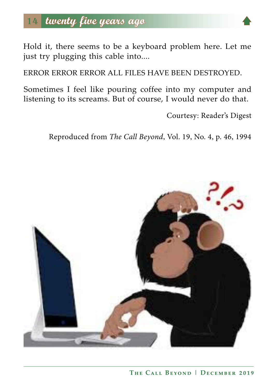# 14 **twenty five years ago**

Hold it, there seems to be a keyboard problem here. Let me just try plugging this cable into....

ERROR ERROR ERROR ALL FILES HAVE BEEN DESTROYED.

Sometimes I feel like pouring coffee into my computer and listening to its screams. But of course, I would never do that.

Courtesy: Reader's Digest

Reproduced from *The Call Beyond*, Vol. 19, No. 4, p. 46, 1994



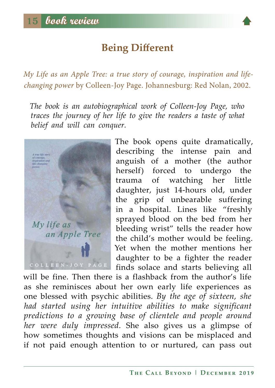# **Being Different**

<span id="page-14-0"></span>*My Life as an Apple Tree: a true story of courage, inspiration and lifechanging power* by Colleen-Joy Page. Johannesburg: Red Nolan, 2002.

*The book is an autobiographical work of Colleen-Joy Page, who traces the journey of her life to give the readers a taste of what belief and will can conquer.* 



The book opens quite dramatically, describing the intense pain and anguish of a mother (the author herself) forced to undergo the trauma of watching her little daughter, just 14-hours old, under the grip of unbearable suffering in a hospital. Lines like "freshly sprayed blood on the bed from her bleeding wrist" tells the reader how the child's mother would be feeling. Yet when the mother mentions her daughter to be a fighter the reader finds solace and starts believing all

will be fine. Then there is a flashback from the author's life as she reminisces about her own early life experiences as one blessed with psychic abilities. *By the age of sixteen, she had started using her intuitive abilities to make significant predictions to a growing base of clientele and people around her were duly impressed*. She also gives us a glimpse of how sometimes thoughts and visions can be misplaced and if not paid enough attention to or nurtured, can pass out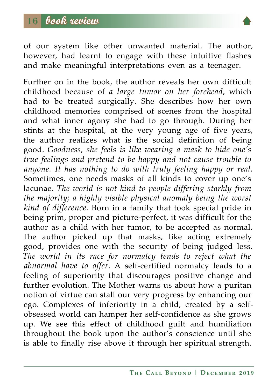

of our system like other unwanted material. The author, however, had learnt to engage with these intuitive flashes and make meaningful interpretations even as a teenager.

Further on in the book, the author reveals her own difficult childhood because of *a large tumor on her forehead*, which had to be treated surgically. She describes how her own childhood memories comprised of scenes from the hospital and what inner agony she had to go through. During her stints at the hospital, at the very young age of five years, the author realizes what is the social definition of being good. *Goodness, she feels is like wearing a mask to hide one's true feelings and pretend to be happy and not cause trouble to anyone. It has nothing to do with truly feeling happy or real.* Sometimes, one needs masks of all kinds to cover up one's lacunae. *The world is not kind to people differing starkly from the majority; a highly visible physical anomaly being the worst kind of difference.* Born in a family that took special pride in being prim, proper and picture-perfect, it was difficult for the author as a child with her tumor, to be accepted as normal. The author picked up that masks, like acting extremely good, provides one with the security of being judged less. *The world in its race for normalcy tends to reject what the abnormal have to offer*. A self-certified normalcy leads to a feeling of superiority that discourages positive change and further evolution. The Mother warns us about how a puritan notion of virtue can stall our very progress by enhancing our ego. Complexes of inferiority in a child, created by a selfobsessed world can hamper her self-confidence as she grows up. We see this effect of childhood guilt and humiliation throughout the book upon the author's conscience until she is able to finally rise above it through her spiritual strength.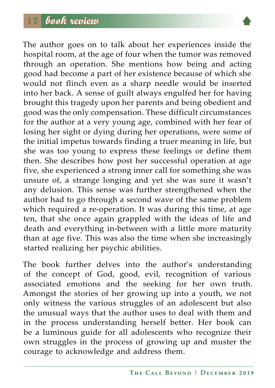

The author goes on to talk about her experiences inside the hospital room, at the age of four when the tumor was removed through an operation. She mentions how being and acting good had become a part of her existence because of which she would not flinch even as a sharp needle would be inserted into her back. A sense of guilt always engulfed her for having brought this tragedy upon her parents and being obedient and good was the only compensation. These difficult circumstances for the author at a very young age, combined with her fear of losing her sight or dying during her operations, were some of the initial impetus towards finding a truer meaning in life, but she was too young to express these feelings or define them then. She describes how post her successful operation at age five, she experienced a strong inner call for something she was unsure of, a strange longing and yet she was sure it wasn't any delusion. This sense was further strengthened when the author had to go through a second wave of the same problem which required a re-operation. It was during this time, at age ten, that she once again grappled with the ideas of life and death and everything in-between with a little more maturity than at age five. This was also the time when she increasingly started realizing her psychic abilities.

The book further delves into the author's understanding of the concept of God, good, evil, recognition of various associated emotions and the seeking for her own truth. Amongst the stories of her growing up into a youth, we not only witness the various struggles of an adolescent but also the unusual ways that the author uses to deal with them and in the process understanding herself better. Her book can be a luminous guide for all adolescents who recognize their own struggles in the process of growing up and muster the courage to acknowledge and address them.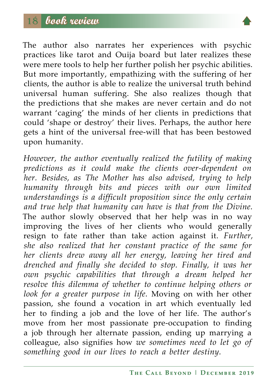# 18 **book review**



The author also narrates her experiences with psychic practices like tarot and Ouija board but later realizes these were mere tools to help her further polish her psychic abilities. But more importantly, empathizing with the suffering of her clients, the author is able to realize the universal truth behind universal human suffering. She also realizes though that the predictions that she makes are never certain and do not warrant 'caging' the minds of her clients in predictions that could 'shape or destroy' their lives. Perhaps, the author here gets a hint of the universal free-will that has been bestowed upon humanity.

*However, the author eventually realized the futility of making predictions as it could make the clients over-dependent on her. Besides, as The Mother has also advised, trying to help humanity through bits and pieces with our own limited understandings is a difficult proposition since the only certain and true help that humanity can have is that from the Divine.* The author slowly observed that her help was in no way improving the lives of her clients who would generally resign to fate rather than take action against it. *Further, she also realized that her constant practice of the same for her clients drew away all her energy, leaving her tired and drenched and finally she decided to stop. Finally, it was her own psychic capabilities that through a dream helped her resolve this dilemma of whether to continue helping others or look for a greater purpose in life.* Moving on with her other passion, she found a vocation in art which eventually led her to finding a job and the love of her life. The author's move from her most passionate pre-occupation to finding a job through her alternate passion, ending up marrying a colleague, also signifies how *we sometimes need to let go of something good in our lives to reach a better destiny.*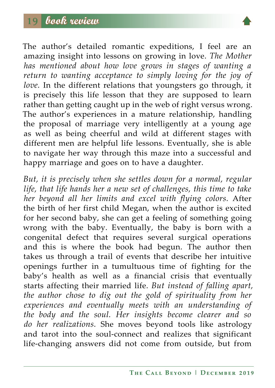

The author's detailed romantic expeditions, I feel are an amazing insight into lessons on growing in love. *The Mother has mentioned about how love grows in stages of wanting a return to wanting acceptance to simply loving for the joy of love.* In the different relations that youngsters go through, it is precisely this life lesson that they are supposed to learn rather than getting caught up in the web of right versus wrong. The author's experiences in a mature relationship, handling the proposal of marriage very intelligently at a young age as well as being cheerful and wild at different stages with different men are helpful life lessons. Eventually, she is able to navigate her way through this maze into a successful and happy marriage and goes on to have a daughter.

*But, it is precisely when she settles down for a normal, regular life, that life hands her a new set of challenges, this time to take her beyond all her limits and excel with flying colors.* After the birth of her first child Megan, when the author is excited for her second baby, she can get a feeling of something going wrong with the baby. Eventually, the baby is born with a congenital defect that requires several surgical operations and this is where the book had begun. The author then takes us through a trail of events that describe her intuitive openings further in a tumultuous time of fighting for the baby's health as well as a financial crisis that eventually starts affecting their married life. *But instead of falling apart, the author chose to dig out the gold of spirituality from her experiences and eventually meets with an understanding of the body and the soul. Her insights become clearer and so do her realizations.* She moves beyond tools like astrology and tarot into the soul-connect and realizes that significant life-changing answers did not come from outside, but from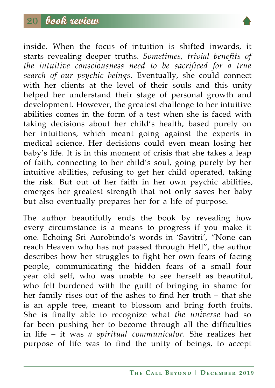

inside. When the focus of intuition is shifted inwards, it starts revealing deeper truths. *Sometimes, trivial benefits of the intuitive consciousness need to be sacrificed for a true search of our psychic beings.* Eventually, she could connect with her clients at the level of their souls and this unity helped her understand their stage of personal growth and development. However, the greatest challenge to her intuitive abilities comes in the form of a test when she is faced with taking decisions about her child's health, based purely on her intuitions, which meant going against the experts in medical science. Her decisions could even mean losing her baby's life. It is in this moment of crisis that she takes a leap of faith, connecting to her child's soul, going purely by her intuitive abilities, refusing to get her child operated, taking the risk. But out of her faith in her own psychic abilities, emerges her greatest strength that not only saves her baby but also eventually prepares her for a life of purpose.

The author beautifully ends the book by revealing how every circumstance is a means to progress if you make it one. Echoing Sri Aurobindo's words in 'Savitri', "None can reach Heaven who has not passed through Hell", the author describes how her struggles to fight her own fears of facing people, communicating the hidden fears of a small four year old self, who was unable to see herself as beautiful, who felt burdened with the guilt of bringing in shame for her family rises out of the ashes to find her truth – that she is an apple tree, meant to blossom and bring forth fruits. She is finally able to recognize what *the universe* had so far been pushing her to become through all the difficulties in life – it was *a spiritual communicator.* She realizes her purpose of life was to find the unity of beings, to accept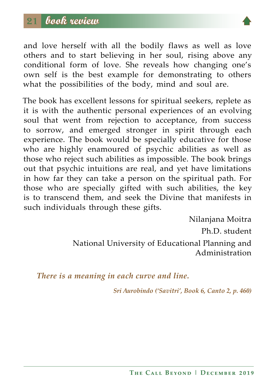# *book review*



and love herself with all the bodily flaws as well as love others and to start believing in her soul, rising above any conditional form of love. She reveals how changing one's own self is the best example for demonstrating to others what the possibilities of the body, mind and soul are.

The book has excellent lessons for spiritual seekers, replete as it is with the authentic personal experiences of an evolving soul that went from rejection to acceptance, from success to sorrow, and emerged stronger in spirit through each experience. The book would be specially educative for those who are highly enamoured of psychic abilities as well as those who reject such abilities as impossible. The book brings out that psychic intuitions are real, and yet have limitations in how far they can take a person on the spiritual path. For those who are specially gifted with such abilities, the key is to transcend them, and seek the Divine that manifests in such individuals through these gifts.

> Nilanjana Moitra Ph.D. student National University of Educational Planning and Administration

*There is a meaning in each curve and line.*

*Sri Aurobindo ('Savitri', Book 6, Canto 2, p. 460)*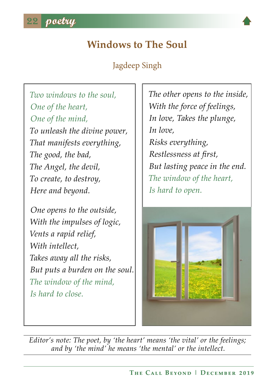# **Windows to The Soul**

### Jagdeep Singh

<span id="page-21-0"></span>*Two windows to the soul, One of the heart, One of the mind, To unleash the divine power, That manifests everything, The good, the bad, The Angel, the devil, To create, to destroy, Here and beyond.*

*One opens to the outside, With the impulses of logic, Vents a rapid relief, With intellect, Takes away all the risks, But puts a burden on the soul. The window of the mind, Is hard to close.* 

*The other opens to the inside, With the force of feelings, In love, Takes the plunge, In love, Risks everything, Restlessness at first, But lasting peace in the end. The window of the heart, Is hard to open.*



*Editor's note: The poet, by 'the heart' means 'the vital' or the feelings; and by 'the mind' he means 'the mental' or the intellect.*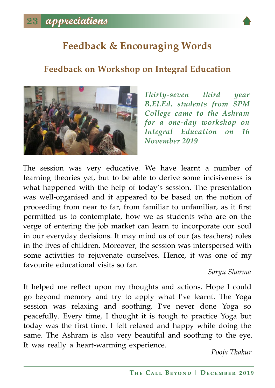

# <span id="page-22-0"></span>**Feedback & Encouraging Words**

#### **Feedback on Workshop on Integral Education**



*Thirty-seven third year B.El.Ed. students from SPM College came to the Ashram for a one-day workshop on Integral Education on 16 November 2019*

The session was very educative. We have learnt a number of learning theories yet, but to be able to derive some incisiveness is what happened with the help of today's session. The presentation was well-organised and it appeared to be based on the notion of proceeding from near to far, from familiar to unfamiliar, as it first permitted us to contemplate, how we as students who are on the verge of entering the job market can learn to incorporate our soul in our everyday decisions. It may mind us of our (as teachers) roles in the lives of children. Moreover, the session was interspersed with some activities to rejuvenate ourselves. Hence, it was one of my favourite educational visits so far.

#### *Saryu Sharma*

It helped me reflect upon my thoughts and actions. Hope I could go beyond memory and try to apply what I've learnt. The Yoga session was relaxing and soothing. I've never done Yoga so peacefully. Every time, I thought it is tough to practice Yoga but today was the first time. I felt relaxed and happy while doing the same. The Ashram is also very beautiful and soothing to the eye. It was really a heart-warming experience. *Pooja Thakur*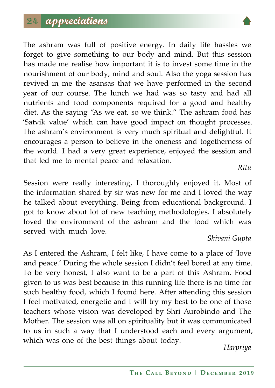### 24 **appreciations**



The ashram was full of positive energy. In daily life hassles we forget to give something to our body and mind. But this session has made me realise how important it is to invest some time in the nourishment of our body, mind and soul. Also the yoga session has revived in me the asansas that we have performed in the second year of our course. The lunch we had was so tasty and had all nutrients and food components required for a good and healthy diet. As the saying "As we eat, so we think." The ashram food has 'Satvik value' which can have good impact on thought processes. The ashram's environment is very much spiritual and delightful. It encourages a person to believe in the oneness and togetherness of the world. I had a very great experience, enjoyed the session and that led me to mental peace and relaxation. *Ritu*

Session were really interesting, I thoroughly enjoyed it. Most of the information shared by sir was new for me and I loved the way he talked about everything. Being from educational background. I got to know about lot of new teaching methodologies. I absolutely loved the environment of the ashram and the food which was served with much love.

#### *Shivani Gupta*

As I entered the Ashram, I felt like, I have come to a place of 'love and peace.' During the whole session I didn't feel bored at any time. To be very honest, I also want to be a part of this Ashram. Food given to us was best because in this running life there is no time for such healthy food, which I found here. After attending this session I feel motivated, energetic and I will try my best to be one of those teachers whose vision was developed by Shri Aurobindo and The Mother. The session was all on spirituality but it was communicated to us in such a way that I understood each and every argument, which was one of the best things about today. *Harpriya*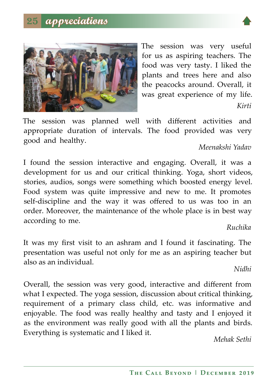### 25 **appreciations**





The session was very useful for us as aspiring teachers. The food was very tasty. I liked the plants and trees here and also the peacocks around. Overall, it was great experience of my life. *Kirti*

The session was planned well with different activities and appropriate duration of intervals. The food provided was very good and healthy. *Meenakshi Yadav*

I found the session interactive and engaging. Overall, it was a development for us and our critical thinking. Yoga, short videos, stories, audios, songs were something which boosted energy level. Food system was quite impressive and new to me. It promotes self-discipline and the way it was offered to us was too in an order. Moreover, the maintenance of the whole place is in best way according to me. *Ruchika*

It was my first visit to an ashram and I found it fascinating. The presentation was useful not only for me as an aspiring teacher but also as an individual.

#### *Nidhi*

Overall, the session was very good, interactive and different from what I expected. The yoga session, discussion about critical thinking, requirement of a primary class child, etc. was informative and enjoyable. The food was really healthy and tasty and I enjoyed it as the environment was really good with all the plants and birds. Everything is systematic and I liked it. *Mehak Sethi*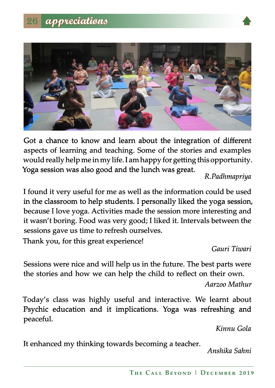



Got a chance to know and learn about the integration of different aspects of learning and teaching. Some of the stories and examples would really help me in my life. I am happy for getting this opportunity. Yoga session was also good and the lunch was great. *R.Padhmapriya*

I found it very useful for me as well as the information could be used in the classroom to help students. I personally liked the yoga session, because I love yoga. Activities made the session more interesting and it wasn't boring. Food was very good; I liked it. Intervals between the sessions gave us time to refresh ourselves.

Thank you, for this great experience!

*Gauri Tiwari*

Sessions were nice and will help us in the future. The best parts were the stories and how we can help the child to reflect on their own.

*Aarzoo Mathur*

Today's class was highly useful and interactive. We learnt about Psychic education and it implications. Yoga was refreshing and peaceful.

*Kinnu Gola*

It enhanced my thinking towards becoming a teacher. *Anshika Sahni*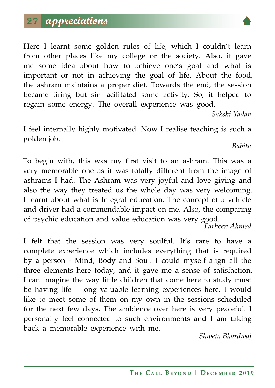

Here I learnt some golden rules of life, which I couldn't learn from other places like my college or the society. Also, it gave me some idea about how to achieve one's goal and what is important or not in achieving the goal of life. About the food, the ashram maintains a proper diet. Towards the end, the session became tiring but sir facilitated some activity. So, it helped to regain some energy. The overall experience was good.

*Sakshi Yadav*

I feel internally highly motivated. Now I realise teaching is such a golden job. *Babita* 

To begin with, this was my first visit to an ashram. This was a very memorable one as it was totally different from the image of ashrams I had. The Ashram was very joyful and love giving and also the way they treated us the whole day was very welcoming. I learnt about what is Integral education. The concept of a vehicle and driver had a commendable impact on me. Also, the comparing of psychic education and value education was very good. *Farheen Ahmed*

I felt that the session was very soulful. It's rare to have a complete experience which includes everything that is required by a person - Mind, Body and Soul. I could myself align all the three elements here today, and it gave me a sense of satisfaction. I can imagine the way little children that come here to study must be having life – long valuable learning experiences here. I would like to meet some of them on my own in the sessions scheduled for the next few days. The ambience over here is very peaceful. I personally feel connected to such environments and I am taking back a memorable experience with me.

*Shweta Bhardwaj*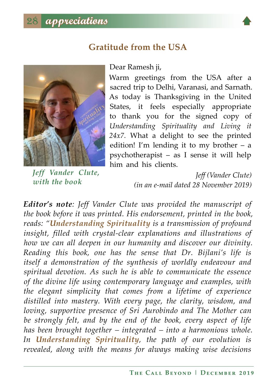#### **Gratitude from the USA**



Dear Ramesh ji,

Warm greetings from the USA after a sacred trip to Delhi, Varanasi, and Sarnath. As today is Thanksgiving in the United States, it feels especially appropriate to thank you for the signed copy of *Understanding Spirituality and Living it 24x7.* What a delight to see the printed edition! I'm lending it to my brother – a psychotherapist – as I sense it will help him and his clients.

*Jeff Vander Clute, with the book*

*Jeff (Vander Clute) (in an e-mail dated 28 November 2019)*

*Editor's note: Jeff Vander Clute was provided the manuscript of the book before it was printed. His endorsement, printed in the book, reads: "Understanding Spirituality is a transmission of profound insight, filled with crystal-clear explanations and illustrations of how we can all deepen in our humanity and discover our divinity. Reading this book, one has the sense that Dr. Bijlani's life is itself a demonstration of the synthesis of worldly endeavour and spiritual devotion. As such he is able to communicate the essence of the divine life using contemporary language and examples, with the elegant simplicity that comes from a lifetime of experience distilled into mastery. With every page, the clarity, wisdom, and loving, supportive presence of Sri Aurobindo and The Mother can be strongly felt, and by the end of the book, every aspect of life has been brought together – integrated – into a harmonious whole. In Understanding Spirituality, the path of our evolution is revealed, along with the means for always making wise decisions*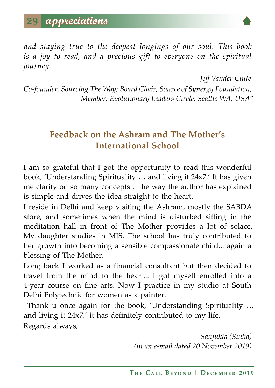*and staying true to the deepest longings of our soul. This book is a joy to read, and a precious gift to everyone on the spiritual journey.*

*Jeff Vander Clute Co-founder, Sourcing The Way; Board Chair, Source of Synergy Foundation; Member, Evolutionary Leaders Circle, Seattle WA, USA"*

### **Feedback on the Ashram and The Mother's International School**

I am so grateful that I got the opportunity to read this wonderful book, 'Understanding Spirituality … and living it 24x7.' It has given me clarity on so many concepts . The way the author has explained is simple and drives the idea straight to the heart.

I reside in Delhi and keep visiting the Ashram, mostly the SABDA store, and sometimes when the mind is disturbed sitting in the meditation hall in front of The Mother provides a lot of solace. My daughter studies in MIS. The school has truly contributed to her growth into becoming a sensible compassionate child... again a blessing of The Mother.

Long back I worked as a financial consultant but then decided to travel from the mind to the heart... I got myself enrolled into a 4-year course on fine arts. Now I practice in my studio at South Delhi Polytechnic for women as a painter.

 Thank u once again for the book, 'Understanding Spirituality … and living it 24x7.' it has definitely contributed to my life. Regards always,

> *Sanjukta (Sinha) (in an e-mail dated 20 November 2019)*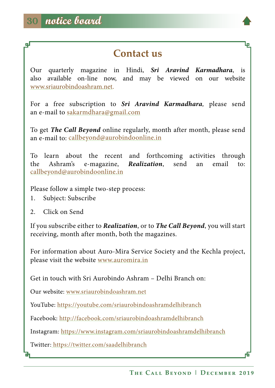<span id="page-29-0"></span>цſ



# **Contact us**

Our quarterly magazine in Hindi, *Sri Aravind Karmadhara*, is also available on-line now, and may be viewed on our website www.sriaurobindoashram.net.

For a free subscription to *Sri Aravind Karmadhara,* please send an e-mail to [sakarmdhara@gmail.com](mailto:sakarmdhara@gmail.com)

To get *The Call Beyond* online regularly, month after month, please send an e-mail to: callbeyond@aurobindoonline.in

To learn about the recent and forthcoming activities through the Ashram's e-magazine, *Realization*, send an email to: callbeyond@aurobindoonline.in

Please follow a simple two-step process:

- 1. Subject: Subscribe
- 2. Click on Send

If you subscribe either to *Realization*, or to *The Call Beyond*, you will start receiving, month after month, both the magazines.

For information about Auro-Mira Service Society and the Kechla project, please visit the website [www.auromira.in]( www.auromira.in)

Get in touch with Sri Aurobindo Ashram – Delhi Branch on:

Our website: [www.sriaurobindoashram.net](http://www.sriaurobindoashram.net)

YouTube: [https://youtube.com/sriaurobindoashramdelhibranch](https://youtube.com/sriaurobindoashramdelhibranch )

Facebook:<http://facebook.com/sriaurobindoashramdelhibranch>

Instagram: [https://www.instagram.com/sriaurobindoashramdelhibranch](https://www.instagram.com/sriaurobindoashramdelhibranch )

Twitter: [https://twitter.com/saadelhibranch]( https://twitter.com/saadelhibranch)